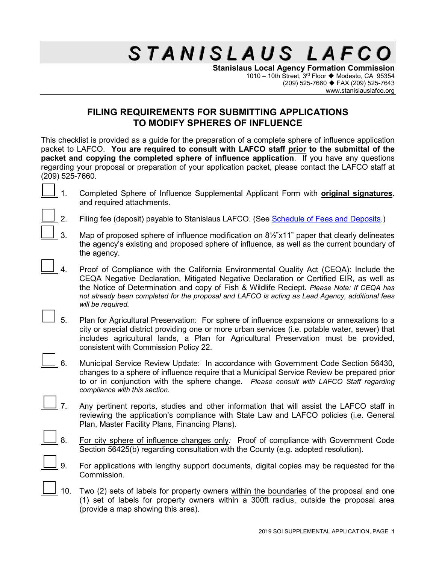**Stanislaus Local Agency Formation Commission** 1010 – 10th Street, 3<sup>rd</sup> Floor ◆ Modesto, CA 95354 (209) 525-7660 FAX (209) 525-7643 www.stanislauslafco.org

## **FILING REQUIREMENTS FOR SUBMITTING APPLICATIONS TO MODIFY SPHERES OF INFLUENCE**

This checklist is provided as a guide for the preparation of a complete sphere of influence application packet to LAFCO. **You are required to consult with LAFCO staff prior to the submittal of the packet and copying the completed sphere of influence application**. If you have any questions regarding your proposal or preparation of your application packet, please contact the LAFCO staff at (209) 525-7660.

- 1. Completed Sphere of Influence Supplemental Applicant Form with **original signatures**. and required attachments.
- 2. Filing fee (deposit) payable to Stanislaus LAFCO. (See [Schedule of Fees and Deposits.](http://www.stanislauslafco.org/PDF/forms/FeeSchedule.pdf))
- 3. Map of proposed sphere of influence modification on 8½"x11" paper that clearly delineates the agency's existing and proposed sphere of influence, as well as the current boundary of the agency.
- 4. Proof of Compliance with the California Environmental Quality Act (CEQA): Include the CEQA Negative Declaration, Mitigated Negative Declaration or Certified EIR, as well as the Notice of Determination and copy of Fish & Wildlife Reciept. *Please Note: If CEQA has not already been completed for the proposal and LAFCO is acting as Lead Agency, additional fees will be required.*
- 5. Plan for Agricultural Preservation: For sphere of influence expansions or annexations to a city or special district providing one or more urban services (i.e. potable water, sewer) that includes agricultural lands, a Plan for Agricultural Preservation must be provided, consistent with Commission Policy 22.
- 6. Municipal Service Review Update: In accordance with Government Code Section 56430, changes to a sphere of influence require that a Municipal Service Review be prepared prior to or in conjunction with the sphere change. *Please consult with LAFCO Staff regarding compliance with this section.*
- $\frac{1}{2}$  7. Any pertinent reports, studies and other information that will assist the LAFCO staff in reviewing the application's compliance with State Law and LAFCO policies (i.e. General Plan, Master Facility Plans, Financing Plans).
- 8. For city sphere of influence changes only*:* Proof of compliance with Government Code Section 56425(b) regarding consultation with the County (e.g. adopted resolution).
	- 9. For applications with lengthy support documents, digital copies may be requested for the Commission.
- 10. Two (2) sets of labels for property owners within the boundaries of the proposal and one (1) set of labels for property owners within a 300ft radius, outside the proposal area (provide a map showing this area).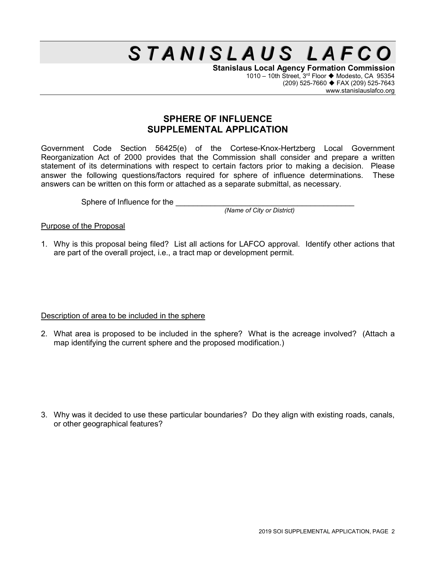**Stanislaus Local Agency Formation Commission** 1010 – 10th Street, 3<sup>rd</sup> Floor ◆ Modesto, CA 95354 (209) 525-7660 FAX (209) 525-7643 www.stanislauslafco.org

## **SPHERE OF INFLUENCE SUPPLEMENTAL APPLICATION**

Government Code Section 56425(e) of the Cortese-Knox-Hertzberg Local Government Reorganization Act of 2000 provides that the Commission shall consider and prepare a written statement of its determinations with respect to certain factors prior to making a decision. Please answer the following questions/factors required for sphere of influence determinations. These answers can be written on this form or attached as a separate submittal, as necessary.

Sphere of Influence for the

*(Name of City or District)*

Purpose of the Proposal

1. Why is this proposal being filed? List all actions for LAFCO approval. Identify other actions that are part of the overall project, i.e., a tract map or development permit.

Description of area to be included in the sphere

2. What area is proposed to be included in the sphere? What is the acreage involved? (Attach a map identifying the current sphere and the proposed modification.)

3. Why was it decided to use these particular boundaries? Do they align with existing roads, canals, or other geographical features?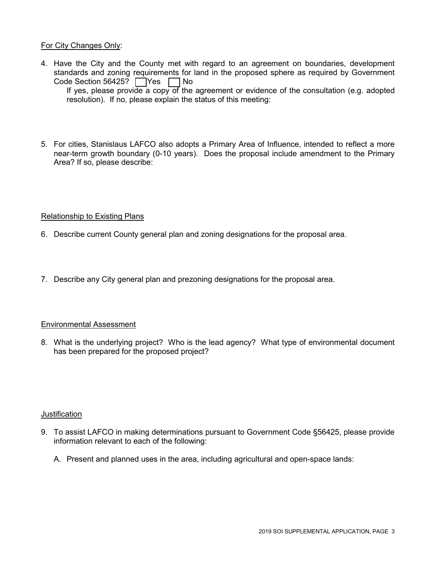### For City Changes Only:

4. Have the City and the County met with regard to an agreement on boundaries, development standards and zoning requirements for land in the proposed sphere as required by Government Code Section 56425?  $\Box$  Yes  $\Box$  No If yes, please provide a copy of the agreement or evidence of the consultation (e.g. adopted

resolution). If no, please explain the status of this meeting:

5. For cities, Stanislaus LAFCO also adopts a Primary Area of Influence, intended to reflect a more near-term growth boundary (0-10 years). Does the proposal include amendment to the Primary Area? If so, please describe:

### Relationship to Existing Plans

- 6. Describe current County general plan and zoning designations for the proposal area.
- 7. Describe any City general plan and prezoning designations for the proposal area.

### Environmental Assessment

8. What is the underlying project? Who is the lead agency? What type of environmental document has been prepared for the proposed project?

#### **Justification**

- 9. To assist LAFCO in making determinations pursuant to Government Code §56425, please provide information relevant to each of the following:
	- A. Present and planned uses in the area, including agricultural and open-space lands: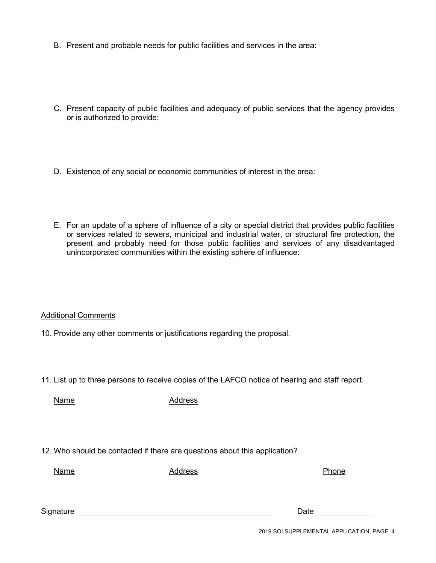- B. Present and probable needs for public facilities and services in the area:
- C. Present capacity of public facilities and adequacy of public services that the agency provides or is authorized to provide:
- D. Existence of any social or economic communities of interest in the area:
- E. For an update of a sphere of influence of a city or special district that provides public facilities or services related to sewers, municipal and industrial water, or structural fire protection, the present and probably need for those public facilities and services of any disadvantaged unincorporated communities within the existing sphere of influence:

Additional Comments

10. Provide any other comments or justifications regarding the proposal.

11. List up to three persons to receive copies of the LAFCO notice of hearing and staff report.

Name Address

12. Who should be contacted if there are questions about this application?

Name **Address** Address **Phone** 

Signature Date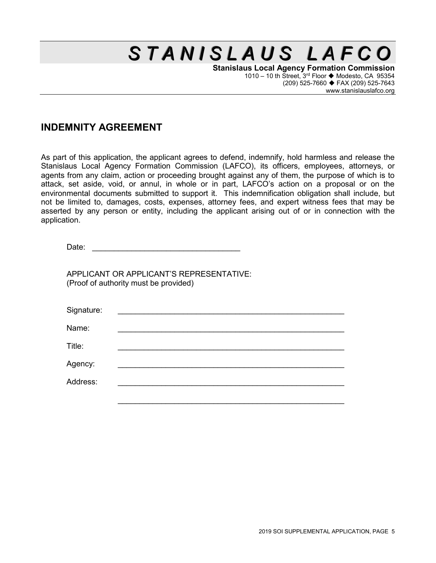**Stanislaus Local Agency Formation Commission** 1010 – 10 th Street,  $3^{rd}$  Floor  $\blacklozenge$  Modesto, CA 95354 (209) 525-7660 FAX (209) 525-7643 www.stanislauslafco.org

## **INDEMNITY AGREEMENT**

As part of this application, the applicant agrees to defend, indemnify, hold harmless and release the Stanislaus Local Agency Formation Commission (LAFCO), its officers, employees, attorneys, or agents from any claim, action or proceeding brought against any of them, the purpose of which is to attack, set aside, void, or annul, in whole or in part, LAFCO's action on a proposal or on the environmental documents submitted to support it. This indemnification obligation shall include, but not be limited to, damages, costs, expenses, attorney fees, and expert witness fees that may be asserted by any person or entity, including the applicant arising out of or in connection with the application.

APPLICANT OR APPLICANT'S REPRESENTATIVE: (Proof of authority must be provided)

| Signature: |  |  |  |
|------------|--|--|--|
| Name:      |  |  |  |
| Title:     |  |  |  |
| Agency:    |  |  |  |
| Address:   |  |  |  |
|            |  |  |  |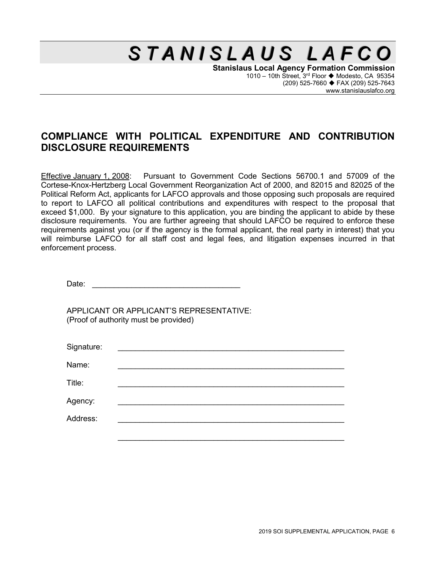**Stanislaus Local Agency Formation Commission** 1010 – 10th Street,  $3^{rd}$  Floor  $\blacklozenge$  Modesto, CA 95354 (209) 525-7660 FAX (209) 525-7643 www.stanislauslafco.org

## **COMPLIANCE WITH POLITICAL EXPENDITURE AND CONTRIBUTION DISCLOSURE REQUIREMENTS**

Effective January 1, 2008: Pursuant to Government Code Sections 56700.1 and 57009 of the Cortese-Knox-Hertzberg Local Government Reorganization Act of 2000, and 82015 and 82025 of the Political Reform Act, applicants for LAFCO approvals and those opposing such proposals are required to report to LAFCO all political contributions and expenditures with respect to the proposal that exceed \$1,000. By your signature to this application, you are binding the applicant to abide by these disclosure requirements. You are further agreeing that should LAFCO be required to enforce these requirements against you (or if the agency is the formal applicant, the real party in interest) that you will reimburse LAFCO for all staff cost and legal fees, and litigation expenses incurred in that enforcement process.

Date:

APPLICANT OR APPLICANT'S REPRESENTATIVE: (Proof of authority must be provided)

| Signature: | <u> 1980 - Jan Samuel Barbara, martin da shekara 1980 - An tsara 1980 - An tsara 1980 - An tsara 1980 - An tsara </u> |  |  |
|------------|-----------------------------------------------------------------------------------------------------------------------|--|--|
| Name:      |                                                                                                                       |  |  |
| Title:     |                                                                                                                       |  |  |
| Agency:    |                                                                                                                       |  |  |
| Address:   |                                                                                                                       |  |  |
|            |                                                                                                                       |  |  |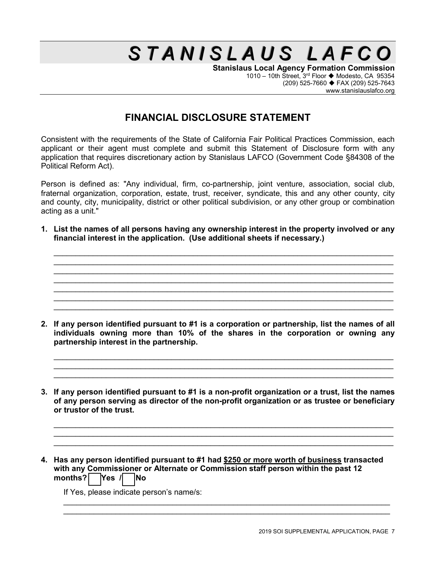**Stanislaus Local Agency Formation Commission** 1010 – 10th Street,  $3^{rd}$  Floor  $\blacklozenge$  Modesto, CA 95354 (209) 525-7660 FAX (209) 525-7643 www.stanislauslafco.org

## **FINANCIAL DISCLOSURE STATEMENT**

Consistent with the requirements of the State of California Fair Political Practices Commission, each applicant or their agent must complete and submit this Statement of Disclosure form with any application that requires discretionary action by Stanislaus LAFCO (Government Code §84308 of the Political Reform Act).

Person is defined as: "Any individual, firm, co-partnership, joint venture, association, social club, fraternal organization, corporation, estate, trust, receiver, syndicate, this and any other county, city and county, city, municipality, district or other political subdivision, or any other group or combination acting as a unit."

**1. List the names of all persons having any ownership interest in the property involved or any financial interest in the application. (Use additional sheets if necessary.)**

 $\_$  , and the set of the set of the set of the set of the set of the set of the set of the set of the set of the set of the set of the set of the set of the set of the set of the set of the set of the set of the set of th \_\_\_\_\_\_\_\_\_\_\_\_\_\_\_\_\_\_\_\_\_\_\_\_\_\_\_\_\_\_\_\_\_\_\_\_\_\_\_\_\_\_\_\_\_\_\_\_\_\_\_\_\_\_\_\_\_\_\_\_\_\_\_\_\_\_\_\_\_\_\_\_\_\_\_\_\_\_ \_\_\_\_\_\_\_\_\_\_\_\_\_\_\_\_\_\_\_\_\_\_\_\_\_\_\_\_\_\_\_\_\_\_\_\_\_\_\_\_\_\_\_\_\_\_\_\_\_\_\_\_\_\_\_\_\_\_\_\_\_\_\_\_\_\_\_\_\_\_\_\_\_\_\_\_\_\_  $\_$  , and the set of the set of the set of the set of the set of the set of the set of the set of the set of the set of the set of the set of the set of the set of the set of the set of the set of the set of the set of th  $\_$  , and the set of the set of the set of the set of the set of the set of the set of the set of the set of the set of the set of the set of the set of the set of the set of the set of the set of the set of the set of th \_\_\_\_\_\_\_\_\_\_\_\_\_\_\_\_\_\_\_\_\_\_\_\_\_\_\_\_\_\_\_\_\_\_\_\_\_\_\_\_\_\_\_\_\_\_\_\_\_\_\_\_\_\_\_\_\_\_\_\_\_\_\_\_\_\_\_\_\_\_\_\_\_\_\_\_\_\_ \_\_\_\_\_\_\_\_\_\_\_\_\_\_\_\_\_\_\_\_\_\_\_\_\_\_\_\_\_\_\_\_\_\_\_\_\_\_\_\_\_\_\_\_\_\_\_\_\_\_\_\_\_\_\_\_\_\_\_\_\_\_\_\_\_\_\_\_\_\_\_\_\_\_\_\_\_\_

**2. If any person identified pursuant to #1 is a corporation or partnership, list the names of all individuals owning more than 10% of the shares in the corporation or owning any partnership interest in the partnership.**

\_\_\_\_\_\_\_\_\_\_\_\_\_\_\_\_\_\_\_\_\_\_\_\_\_\_\_\_\_\_\_\_\_\_\_\_\_\_\_\_\_\_\_\_\_\_\_\_\_\_\_\_\_\_\_\_\_\_\_\_\_\_\_\_\_\_\_\_\_\_\_\_\_\_\_\_\_\_  $\_$  , and the set of the set of the set of the set of the set of the set of the set of the set of the set of the set of the set of the set of the set of the set of the set of the set of the set of the set of the set of th \_\_\_\_\_\_\_\_\_\_\_\_\_\_\_\_\_\_\_\_\_\_\_\_\_\_\_\_\_\_\_\_\_\_\_\_\_\_\_\_\_\_\_\_\_\_\_\_\_\_\_\_\_\_\_\_\_\_\_\_\_\_\_\_\_\_\_\_\_\_\_\_\_\_\_\_\_\_

**3. If any person identified pursuant to #1 is a non-profit organization or a trust, list the names of any person serving as director of the non-profit organization or as trustee or beneficiary or trustor of the trust.**

 $\_$  , and the set of the set of the set of the set of the set of the set of the set of the set of the set of the set of the set of the set of the set of the set of the set of the set of the set of the set of the set of th \_\_\_\_\_\_\_\_\_\_\_\_\_\_\_\_\_\_\_\_\_\_\_\_\_\_\_\_\_\_\_\_\_\_\_\_\_\_\_\_\_\_\_\_\_\_\_\_\_\_\_\_\_\_\_\_\_\_\_\_\_\_\_\_\_\_\_\_\_\_\_\_\_\_\_\_\_\_ \_\_\_\_\_\_\_\_\_\_\_\_\_\_\_\_\_\_\_\_\_\_\_\_\_\_\_\_\_\_\_\_\_\_\_\_\_\_\_\_\_\_\_\_\_\_\_\_\_\_\_\_\_\_\_\_\_\_\_\_\_\_\_\_\_\_\_\_\_\_\_\_\_\_\_\_\_\_

 $\_$  , and the contribution of the contribution of  $\mathcal{L}_\mathcal{A}$  , and the contribution of  $\mathcal{L}_\mathcal{A}$  , and the contribution of  $\mathcal{L}_\mathcal{A}$  $\_$  , and the set of the set of the set of the set of the set of the set of the set of the set of the set of the set of the set of the set of the set of the set of the set of the set of the set of the set of the set of th

**4. Has any person identified pursuant to #1 had \$250 or more worth of business transacted with any Commissioner or Alternate or Commission staff person within the past 12 months? Yes / No**

If Yes, please indicate person's name/s: